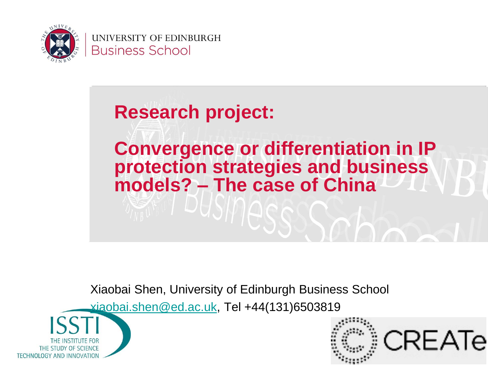

UNIVERSITY OF EDINBURGH **Business School** 

# **Research project: Convergence or differentiation in IP protection strategies and business models? – The case of China**

Xiaobai Shen, University of Edinburgh Business School

[xiaobai.shen@ed.ac.uk,](mailto:xiaobai.shen@ed.ac.uk) Tel +44(131)6503819



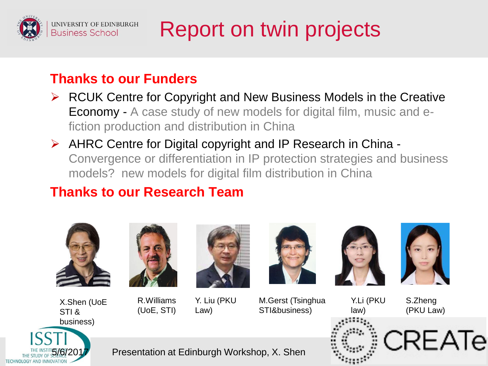

## Report on twin projects

#### **Thanks to our Funders**

- $\triangleright$  RCUK Centre for Copyright and New Business Models in the Creative Economy - A case study of new models for digital film, music and efiction production and distribution in China
- $\triangleright$  AHRC Centre for Digital copyright and IP Research in China -Convergence or differentiation in IP protection strategies and business models? new models for digital film distribution in China

#### **Thanks to our Research Team**







R.Williams (UoE, STI)



Y. Liu (PKU Law)

M.Gerst (Tsinghua STI&business)



Y.Li (PKU



S.Zheng (PKU Law)





Presentation at Edinburgh Workshop, X. Shen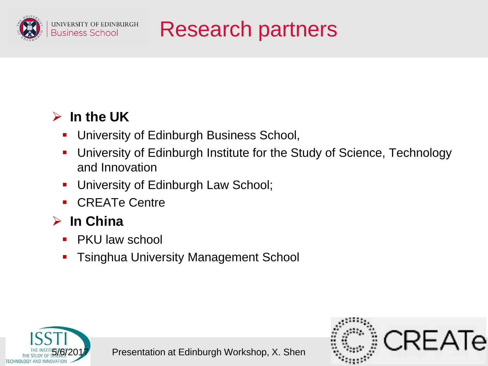

Research partners

#### **In the UK**

- **University of Edinburgh Business School,**
- University of Edinburgh Institute for the Study of Science, Technology and Innovation
- **University of Edinburgh Law School;**
- CREATe Centre

#### **In China**

- PKU law school
- **Tanghua University Management School**



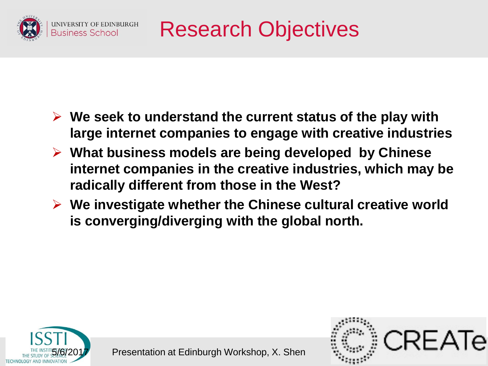

Research Objectives

- **We seek to understand the current status of the play with large internet companies to engage with creative industries**
- **What business models are being developed by Chinese internet companies in the creative industries, which may be radically different from those in the West?**
- **We investigate whether the Chinese cultural creative world is converging/diverging with the global north.**



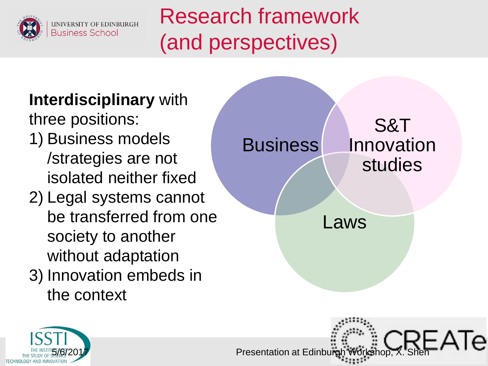

Research framework (and perspectives)

### **Interdisciplinary** with

three positions:

- 1) Business models /strategies are not isolated neither fixed
- 2) Legal systems cannot be transferred from one society to another without adaptation
- 3) Innovation embeds in the context





**Presentation at Edinburgh Works**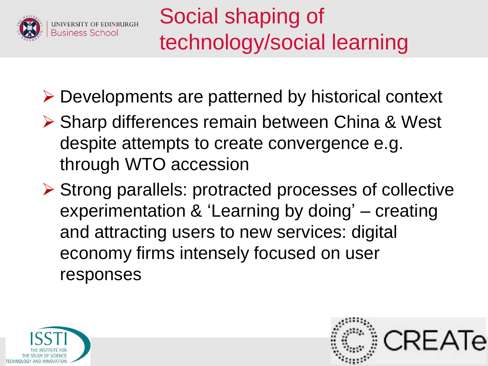

- Developments are patterned by historical context
- ▶ Sharp differences remain between China & West despite attempts to create convergence e.g. through WTO accession
- $\triangleright$  Strong parallels: protracted processes of collective experimentation & 'Learning by doing' – creating and attracting users to new services: digital economy firms intensely focused on user responses



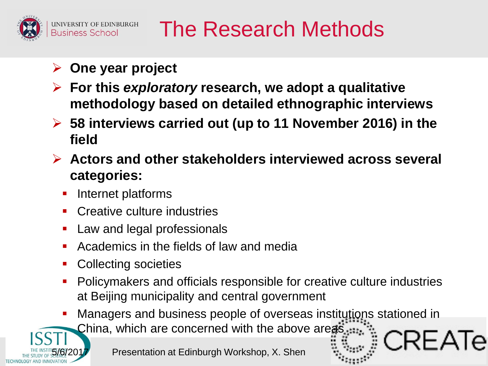

### The Research Methods

- **One year project**
- **For this** *exploratory* **research, we adopt a qualitative methodology based on detailed ethnographic interviews**
- **58 interviews carried out (up to 11 November 2016) in the field**
- **Actors and other stakeholders interviewed across several categories:** 
	- Internet platforms
	- Creative culture industries
	- Law and legal professionals
	- Academics in the fields of law and media
	- Collecting societies
	- Policymakers and officials responsible for creative culture industries at Beijing municipality and central government
	- Managers and business people of overseas institutions stationed in China, which are concerned with the above areas



Presentation at Edinburgh Workshop, X. Shen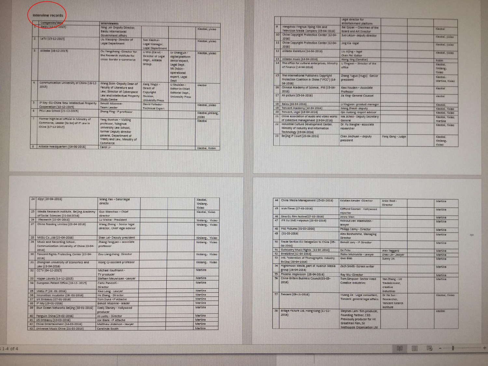|              | Companies/day                                                                                            | interviewees                                                                                                                                                           |                                                                           |                                                                                                                                  |                             |
|--------------|----------------------------------------------------------------------------------------------------------|------------------------------------------------------------------------------------------------------------------------------------------------------------------------|---------------------------------------------------------------------------|----------------------------------------------------------------------------------------------------------------------------------|-----------------------------|
|              | <b>Anduit (115)</b>                                                                                      | Ning Lei- Deputy Director.<br><b>Baidy International</b><br>Government Affairs                                                                                         |                                                                           |                                                                                                                                  | <b>Kisobai</b> yikiani      |
| $\mathbb{Z}$ | LeTV (15-12-2015)                                                                                        | Liu Xinoqing- Director of<br>Legal Department                                                                                                                          | <b>Sun Xisohui</b><br>Legal Monager<br><b>Legal Department</b>            |                                                                                                                                  | Xisobbi, yikiso             |
| B            | Alibaba (16-12-2013)                                                                                     | Ou Yangcheng -Director for<br>the Research Institute for<br>cross-border e-commerce                                                                                    | Li Wei (Carol) -<br>Oirector of Legal<br>Dept. Alibeba<br>Group.          | Ly Changjun -<br>digital platform<br>senior expect.<br><b>Legal Dept.</b><br>Mi Zhibin -<br>operational<br>expert, Legal<br>Dept | <b>Kisobai</b> , yikiao     |
| а            | Communication University of China (16-12-<br>2015                                                        | Wang Soon -Deputy Dean of<br>Faculty of Literature and<br>Law: Director of Cyberspace<br>Law and Intellectual Property<br><b>Study Centre</b>                          | Jiang Yingyi -<br>Direct of<br>Copyright<br>Division.<br>University Press | Li Shuixinn -<br>Editor-in-Chief.<br><b>Editorial Dept.</b><br>University Press                                                  | <b>Ninghai</b>              |
| 3            | IP Key -EU-China New Intellectual Property<br>Cooperation (18-12-2015)                                   | Benoit Misonne-<br><b>Team Leader</b>                                                                                                                                  | David Follador-<br><b>Technical Expert</b>                                |                                                                                                                                  | Xisobai, visiao             |
| i6           | PKU Law School (21-12-2015)                                                                              | Zhang Ping-IP professor                                                                                                                                                |                                                                           |                                                                                                                                  | Xiaobai.yinliang.<br>oetxiy |
| э            | Former high level official in Ministry of<br>Commerce, Leader (to be) of IP Law in<br>China (17-12-2015) | Yang Guohua - Visiting<br>professor, Tsinghua<br>University Law School.<br>former Deputy director<br>general, Department of<br>Treaty and Law, Ministry of<br>Commerce |                                                                           |                                                                                                                                  | <b>Xisobni</b>              |
| 冒            | Alibeba headquarters (04-06-2016)                                                                        | Carol Li-                                                                                                                                                              |                                                                           |                                                                                                                                  | Xiaobai, Robin              |

|    |                                                                                                           | Legal director for<br>entertainment platform                  |                   |                                               |
|----|-----------------------------------------------------------------------------------------------------------|---------------------------------------------------------------|-------------------|-----------------------------------------------|
| n  | Hangzhou Yinghua riping Film and<br>Television Media Company (03-04-2016)                                 | <b>Sai Qiqisn - Chairman of the</b><br>board and Art Director |                   | <b>XIRONIA</b>                                |
| 10 | China Copyright Protection Center (12-04-<br>20165                                                        | Suo Leijun- deputy director                                   |                   | <b>Xisotial</b> , yiziso                      |
| 11 | China Copyright Protection Center (12-04-<br>2016)                                                        | Jing Kie Hegel                                                |                   | <b>Xiechel</b> , you'se                       |
| 12 | Alibeba literature (14-04-2016)                                                                           | Liu Auing - Ingel<br>Chen Pei -Editor                         |                   | Хасов, узово                                  |
|    | Alibebe music (14-04-2016)                                                                                | <b>Xiong Ying (Candice)</b>                                   |                   | Robin                                         |
| 34 | The office for cultural enterprises, Ministry<br>of Finance (14-04-2016)                                  | Li Tingwei - Director of the<br>office                        |                   | Xmchai.<br>Yiniinne.<br><b><i>Viscoso</i></b> |
| 15 | The International Publishers Copyright<br>Protection Coalition in China ("IPCC") (14-<br>$04 - 20161$     | Zhang Yugus (Hugo) -Senior<br>president                       |                   | Xiaobai.<br>Martina, Young                    |
| 16 | Chinese Academy of Science, IPM (15-04-<br>2016                                                           | Xiso Youdan - Associate<br>Professor                          |                   | <b>Kischer</b>                                |
| 注文 | Ali picture (13-04-2016)                                                                                  | Jia Ying- General Counsel                                     |                   | <b>XIBODBI</b>                                |
| 18 | Boidu (16-04-2016)                                                                                        | Li Yingwen-product manager                                    |                   | Xisobai.                                      |
| 19 | Tentent Academy (18-04-2016)                                                                              | Meng Zhaoli- deputy                                           |                   | <b>Xisobai, Youso</b>                         |
| 20 | Tentent, Legal (18-04-2016)                                                                               | Qin Xudong-expert sovisor                                     |                   | <b>Xinotini, Yixino</b>                       |
| 21 | China association of audio and video works<br>of collective management (19-04-2016)                       | Ma Jichno - Deputy Secretary<br>General                       |                   | Xisobai, Yixiso,<br>martina                   |
| 22 | industrial Culture Development Center,<br>Ministry of Industry and Information<br>Technology (19-04-2016) | Dr. Fu Xianghe - associate<br>researcher                      |                   | <b>Xisobal</b> , Yixiao                       |
| 23 | Beijing IP Court (20-04-2016)                                                                             | Chen Jinchusn - deputy<br>president                           | Feng Gang - Judge | Xiacibar.<br>Yinlianz.<br><b>Yiniso</b>       |

|     | 24   iQryl (20-04-2016)                                                          | Wang Yan - Senir legal<br>directo                          | Xisobai.<br>Yinliang.<br>Yixiso |
|-----|----------------------------------------------------------------------------------|------------------------------------------------------------|---------------------------------|
| 251 | Media Research Institute, Beijing Academy<br>of Social Sciences (21-04-2016)     | Gug Wancheg - Chief<br>director                            | Xisobai, Yixiso                 |
| 261 | iResearch (23-04-2016)                                                           | Lu Weina - President                                       | Yinliang. Yixiao                |
| 27  | China Reading Limited (23-04-2016)                                               | Wang Zheng - Senior legal<br>director, Chief legal advisor | Yinliang, Yixiso                |
| 28  | MIGU Co., Ltd (23-04-2016)                                                       | Shan Lei- Deputy president                                 | Yinliang, Yikiso                |
| 29  | Music and Recording School.<br>Communication University of China 23-04-<br>2016) | Zhang Fengyan - associate<br>professor                     | Yintiang. Yixiao                |
| 30  | Tencent Rights Protecting Center (23-04-<br>2016)                                | Zou Liangcheng-Director                                    | Yinliang. Yixiao                |
| 31  | Zhongnan University of Economics and<br>Law (23-04-2016)                         | Xiong Qi-ssociate professor                                | Yinlinng. Yixiso                |
| 32  | CCTV (04-12-2015)                                                                | Michael Kaufmann -<br>TV producer                          | Martina                         |
| 33  | Hogan Liovels (14-12-2015)                                                       | Stefaan Meuwissen -Lawyer                                  | Martine                         |
| 34  | European Patent Office (18-12-2015)                                              | Carlo Pandolfi -<br>Director                               | Martina                         |
| 35  | Metis IP (26-01-2016)                                                            | Xiao Long - Lawyer                                         | Martina                         |
| 36  | Innovation Incubator (26-01-2016)                                                | He Zhang - Director                                        | Martina                         |
| 37  | UK Embassy (27-01-2016)                                                          | Tom Duke -IP Attache                                       | Martina                         |
| 38  | IP Key (29-01-2016)                                                              | Benoit Misonne - leader                                    | Martina                         |
| 39  | Blue Ocean Networks Beijing (30-01-2016)                                         | Keely Stanley - Hollywood<br>producer                      | Martina                         |
| 40  | Penguin China (29-02-2016)                                                       | Jo Lusby - Director                                        | Martina                         |
| 41  | US Embassy (10-03-2016)                                                          | Joe Blank -IP Attache                                      | Martina                         |
| 42  | China Entertainment (14-03-2016)                                                 | Matthew Alderson - lowyer                                  | Martina                         |
| 43  | Universal Music China (21-03-2016)                                               | Caralinda Booth                                            | Martina                         |

5/6/2017 Presentation at Edinburgh Workshop, X. Shen

| 44  | China Media Management (25-03-2016)                               | Kristian Kender - Director                                                                                                                | Anke Redi-<br>Director                                           | Martina         |
|-----|-------------------------------------------------------------------|-------------------------------------------------------------------------------------------------------------------------------------------|------------------------------------------------------------------|-----------------|
| 45  | insh Times (27-03-2016)                                           | Clifford Coonsn - Hollywood<br>reporter                                                                                                   |                                                                  | Martins         |
| 46  | Sino-EU film festival(27-03-2016)                                 | Jenny Man                                                                                                                                 |                                                                  | Martina         |
| 471 | IPR EU SME Helpdesk (28-03-2016)                                  | Reinout van Malenstein -<br>lowyer                                                                                                        |                                                                  | Martina         |
| 48  | PAE Pictures (31-03-2016)                                         | Philipp Cerny - Director                                                                                                                  |                                                                  | <b>Martina</b>  |
| 49  | $(31 - 03 - 2016)$                                                | Alex Sonhomme, Managing<br>Director                                                                                                       |                                                                  | Martina         |
| 50  | Trade Section EU Delegation to China [05-<br>$04 - 2016$          | Benoit Lory - IP Director                                                                                                                 |                                                                  | Martina         |
| 31  | Outdustry Music Rights (11-04-2016)                               | <b>Ed Peto</b>                                                                                                                            | Alex Taggard                                                     | Martina         |
| 52  | Bird&Bird (12-04-2016)                                            | Ricko Michishita - Lawyer                                                                                                                 | Zhao Lin-Lawyer                                                  | Martina         |
| 53  | inti. Federation of Phonographic Industry<br>Beijing (20-04-2016) | Gun Bino                                                                                                                                  | Sunny Jin                                                        | Martina         |
| 54  | Flightmoon Media, part of Huairun Media<br>group (26-04-2016)     | Zach Smith -Screen writer                                                                                                                 |                                                                  | <b>Martina</b>  |
| 55  | Phoenix Inspivision (28-04-2016)                                  | Ray Wu-Director                                                                                                                           |                                                                  | Martina         |
| 56  | China-Britain Business Council (03-05-<br>2016                    | Tom Simpson-Sector Head<br>Creative Industries:                                                                                           | Yan Zhang - UK<br>Trade&invest.<br>creative<br><i>industries</i> | Martina         |
| 57  | Tencent (09-11-2016)                                              | Huang Jie - Legal consultant,<br>Tencent general legal affairs.                                                                           | Dr Na Sun -<br>Researcher,<br>Tencent raearch<br>institute       | Xisobai, Yixiso |
| 58  | Bridge Picture Ltd. Hong Kong (11-11-<br>2016                     | Stephen Lam- film producer,<br>Founding Partner, CEO.<br>Previously producer for HK<br>GreatWall Film, Sil<br>Methonole Organisation Ltd. |                                                                  | xisobai         |

 $\Rightarrow$ 

■ ■ ■ - 1 → +

-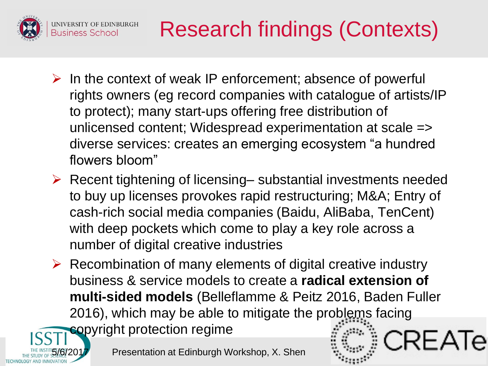

# Research findings (Contexts)

- $\triangleright$  In the context of weak IP enforcement; absence of powerful rights owners (eg record companies with catalogue of artists/IP to protect); many start-ups offering free distribution of unlicensed content; Widespread experimentation at scale => diverse services: creates an emerging ecosystem "a hundred flowers bloom"
- $\triangleright$  Recent tightening of licensing– substantial investments needed to buy up licenses provokes rapid restructuring; M&A; Entry of cash-rich social media companies (Baidu, AliBaba, TenCent) with deep pockets which come to play a key role across a number of digital creative industries
- $\triangleright$  Recombination of many elements of digital creative industry business & service models to create a **radical extension of multi-sided models** (Belleflamme & Peitz 2016, Baden Fuller 2016), which may be able to mitigate the problems facing copyright protection regime

Presentation at Edinburgh Workshop, X. Shen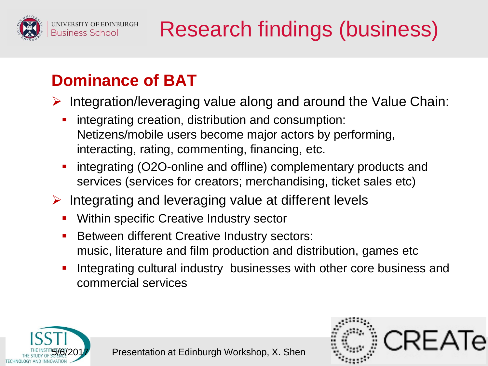

# Research findings (business)

### **Dominance of BAT**

- $\triangleright$  Integration/leveraging value along and around the Value Chain:
	- **·** integrating creation, distribution and consumption: Netizens/mobile users become major actors by performing, interacting, rating, commenting, financing, etc.
	- **•** integrating (O2O-online and offline) complementary products and services (services for creators; merchandising, ticket sales etc)
- $\triangleright$  Integrating and leveraging value at different levels
	- **Within specific Creative Industry sector**
	- **Between different Creative Industry sectors:** music, literature and film production and distribution, games etc
	- Integrating cultural industry businesses with other core business and commercial services



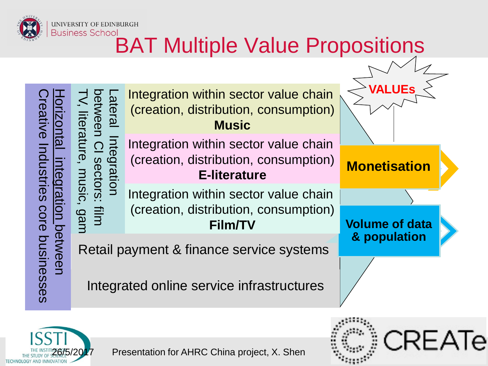

# **Business School**<br>BAT Multiple Value Propositions

Creative Industries core businesses Horizontal ceative Industries core businesses integration between on betweer





Presentation for AHRC China project, X. Shen

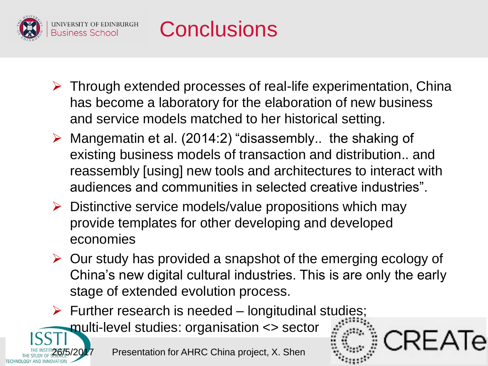



- $\triangleright$  Through extended processes of real-life experimentation, China has become a laboratory for the elaboration of new business and service models matched to her historical setting.
- $\triangleright$  Mangematin et al. (2014:2) "disassembly.. the shaking of existing business models of transaction and distribution.. and reassembly [using] new tools and architectures to interact with audiences and communities in selected creative industries".
- $\triangleright$  Distinctive service models/value propositions which may provide templates for other developing and developed economies
- $\triangleright$  Our study has provided a snapshot of the emerging ecology of China's new digital cultural industries. This is are only the early stage of extended evolution process.

CRFATe

 $\triangleright$  Further research is needed – longitudinal studies;

multi-level studies: organisation <> sector

Presentation for AHRC China project, X. Shen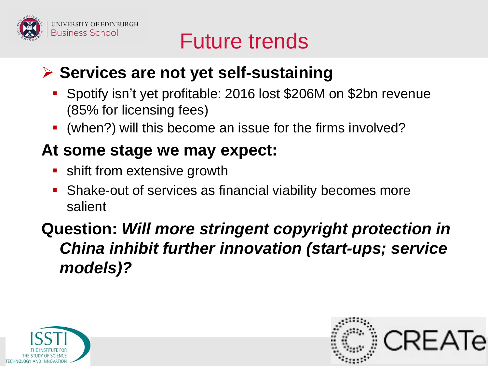

### Future trends

### **Services are not yet self-sustaining**

- Spotify isn't yet profitable: 2016 lost \$206M on \$2bn revenue (85% for licensing fees)
- (when?) will this become an issue for the firms involved?

#### **At some stage we may expect:**

- **shift from extensive growth**
- Shake-out of services as financial viability becomes more salient

#### **Question:** *Will more stringent copyright protection in China inhibit further innovation (start-ups; service models)?*



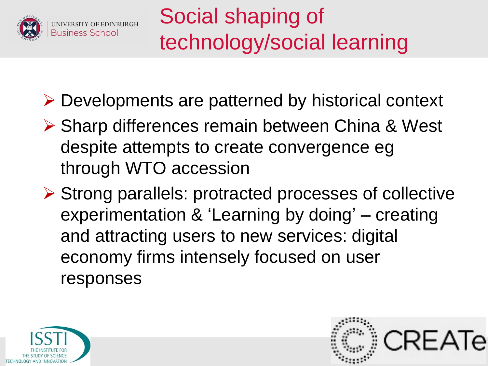

- Developments are patterned by historical context
- ▶ Sharp differences remain between China & West despite attempts to create convergence eg through WTO accession
- $\triangleright$  Strong parallels: protracted processes of collective experimentation & 'Learning by doing' – creating and attracting users to new services: digital economy firms intensely focused on user responses



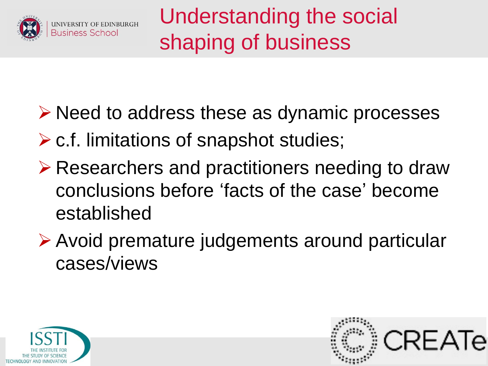

Understanding the social shaping of business

- $\triangleright$  Need to address these as dynamic processes
- $\triangleright$  c.f. limitations of snapshot studies;
- **Example 2 Presearchers and practitioners needing to draw** conclusions before 'facts of the case' become established
- Avoid premature judgements around particular cases/views